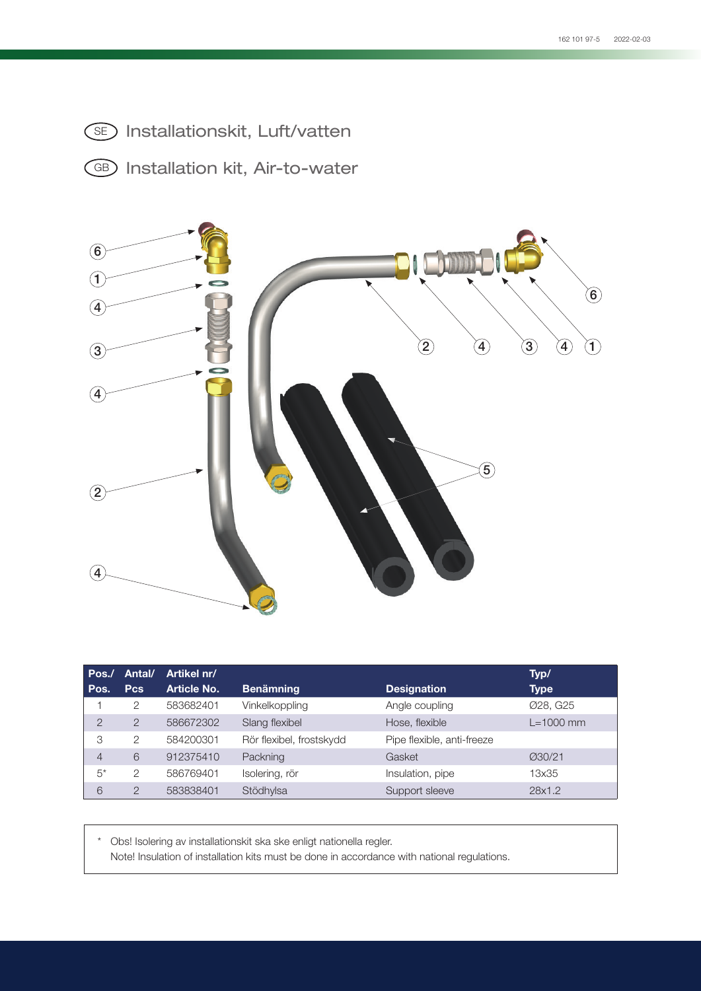- SE) Installationskit, Luft/vatten
- GB) Installation kit, Air-to-water



| Pos.<br>Pos.   | Antal/<br><b>Pcs</b> | Artikel nr/<br>Article No. | <b>Benämning</b>         | <b>Designation</b>         | Typ/<br><b>Type</b> |
|----------------|----------------------|----------------------------|--------------------------|----------------------------|---------------------|
|                | 2                    | 583682401                  | Vinkelkoppling           | Angle coupling             | Ø28, G25            |
| $\overline{2}$ | $\overline{2}$       | 586672302                  | Slang flexibel           | Hose, flexible             | $L=1000$ mm         |
| 3              | 2                    | 584200301                  | Rör flexibel, frostskydd | Pipe flexible, anti-freeze |                     |
| $\overline{4}$ | 6                    | 912375410                  | Packning                 | Gasket                     | Ø30/21              |
| $5^*$          | 2                    | 586769401                  | Isolering, rör           | Insulation, pipe           | 13x35               |
| 6              | っ                    | 583838401                  | Stödhylsa                | Support sleeve             | 28x1.2              |

\* Obs! Isolering av installationskit ska ske enligt nationella regler. Note! Insulation of installation kits must be done in accordance with national regulations.